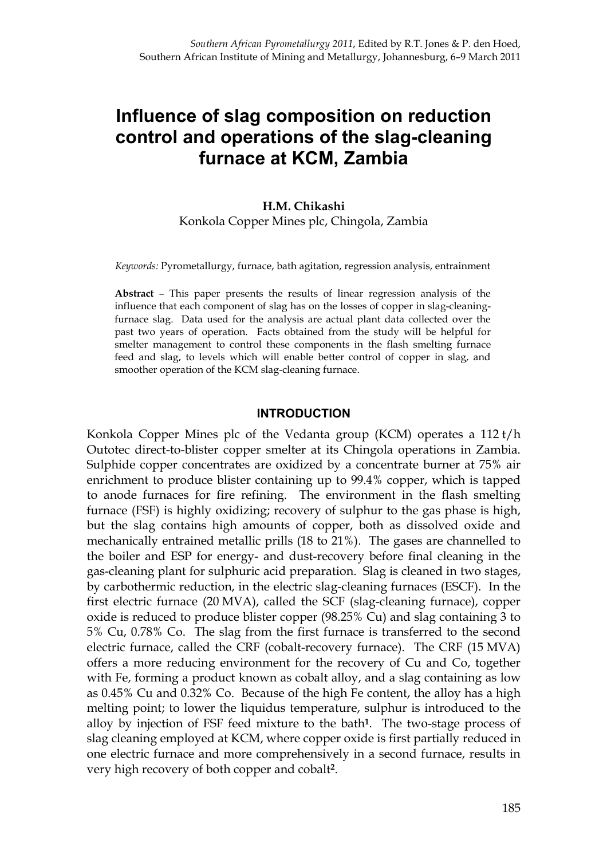# **Influence of slag composition on reduction control and operations of the slag-cleaning furnace at KCM, Zambia**

#### **H.M. Chikashi**  Konkola Copper Mines plc, Chingola, Zambia

*Keywords:* Pyrometallurgy, furnace, bath agitation, regression analysis, entrainment

**Abstract** – This paper presents the results of linear regression analysis of the influence that each component of slag has on the losses of copper in slag-cleaningfurnace slag. Data used for the analysis are actual plant data collected over the past two years of operation. Facts obtained from the study will be helpful for smelter management to control these components in the flash smelting furnace feed and slag, to levels which will enable better control of copper in slag, and smoother operation of the KCM slag-cleaning furnace.

#### **INTRODUCTION**

Konkola Copper Mines plc of the Vedanta group (KCM) operates a 112 t/h Outotec direct-to-blister copper smelter at its Chingola operations in Zambia. Sulphide copper concentrates are oxidized by a concentrate burner at 75% air enrichment to produce blister containing up to 99.4% copper, which is tapped to anode furnaces for fire refining. The environment in the flash smelting furnace (FSF) is highly oxidizing; recovery of sulphur to the gas phase is high, but the slag contains high amounts of copper, both as dissolved oxide and mechanically entrained metallic prills (18 to 21%). The gases are channelled to the boiler and ESP for energy- and dust-recovery before final cleaning in the gas-cleaning plant for sulphuric acid preparation. Slag is cleaned in two stages, by carbothermic reduction, in the electric slag-cleaning furnaces (ESCF). In the first electric furnace (20 MVA), called the SCF (slag-cleaning furnace), copper oxide is reduced to produce blister copper (98.25% Cu) and slag containing 3 to 5% Cu, 0.78% Co. The slag from the first furnace is transferred to the second electric furnace, called the CRF (cobalt-recovery furnace). The CRF (15 MVA) offers a more reducing environment for the recovery of Cu and Co, together with Fe, forming a product known as cobalt alloy, and a slag containing as low as 0.45% Cu and 0.32% Co. Because of the high Fe content, the alloy has a high melting point; to lower the liquidus temperature, sulphur is introduced to the alloy by injection of FSF feed mixture to the bath**1**. The two-stage process of slag cleaning employed at KCM, where copper oxide is first partially reduced in one electric furnace and more comprehensively in a second furnace, results in very high recovery of both copper and cobalt**2**.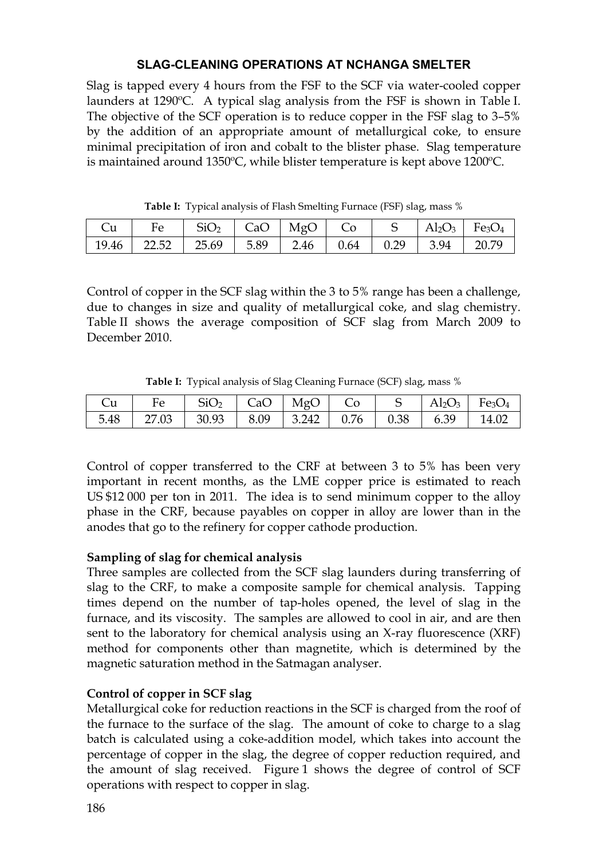## **SLAG-CLEANING OPERATIONS AT NCHANGA SMELTER**

Slag is tapped every 4 hours from the FSF to the SCF via water-cooled copper launders at 1290ºC. A typical slag analysis from the FSF is shown in Table I. The objective of the SCF operation is to reduce copper in the FSF slag to 3–5% by the addition of an appropriate amount of metallurgical coke, to ensure minimal precipitation of iron and cobalt to the blister phase. Slag temperature is maintained around 1350ºC, while blister temperature is kept above 1200ºC.

| Cu | $\vert$ Fe $\vert$ SiO <sub>2</sub> $\vert$ CaO $\vert$ MgO $\vert$ Co $\vert$ S $\vert$ Al <sub>2</sub> O <sub>3</sub> $\vert$ Fe <sub>3</sub> O <sub>4</sub> |  |  |  |  |
|----|----------------------------------------------------------------------------------------------------------------------------------------------------------------|--|--|--|--|
|    | 19.46   22.52   25.69   5.89   2.46   0.64   0.29   3.94   20.79                                                                                               |  |  |  |  |

**Table I:** Typical analysis of Flash Smelting Furnace (FSF) slag, mass %

Control of copper in the SCF slag within the 3 to 5% range has been a challenge, due to changes in size and quality of metallurgical coke, and slag chemistry. Table II shows the average composition of SCF slag from March 2009 to December 2010.

|  |  |  |  | <b>Table I:</b> Typical analysis of Slag Cleaning Furnace (SCF) slag, mass % |  |  |  |  |  |
|--|--|--|--|------------------------------------------------------------------------------|--|--|--|--|--|
|--|--|--|--|------------------------------------------------------------------------------|--|--|--|--|--|

| Cu |                                                                  | Fe $\vert$ SiO <sub>2</sub> $\vert$ CaO $\vert$ MgO $\vert$ Co $\vert$ S $\vert$ Al <sub>2</sub> O <sub>3</sub> $\vert$ Fe <sub>3</sub> O <sub>4</sub> |  |  |  |
|----|------------------------------------------------------------------|--------------------------------------------------------------------------------------------------------------------------------------------------------|--|--|--|
|    | 5.48   27.03   30.93   8.09   3.242   0.76   0.38   6.39   14.02 |                                                                                                                                                        |  |  |  |

Control of copper transferred to the CRF at between 3 to 5% has been very important in recent months, as the LME copper price is estimated to reach US \$12 000 per ton in 2011. The idea is to send minimum copper to the alloy phase in the CRF, because payables on copper in alloy are lower than in the anodes that go to the refinery for copper cathode production.

## **Sampling of slag for chemical analysis**

Three samples are collected from the SCF slag launders during transferring of slag to the CRF, to make a composite sample for chemical analysis. Tapping times depend on the number of tap-holes opened, the level of slag in the furnace, and its viscosity. The samples are allowed to cool in air, and are then sent to the laboratory for chemical analysis using an X-ray fluorescence (XRF) method for components other than magnetite, which is determined by the magnetic saturation method in the Satmagan analyser.

# **Control of copper in SCF slag**

Metallurgical coke for reduction reactions in the SCF is charged from the roof of the furnace to the surface of the slag. The amount of coke to charge to a slag batch is calculated using a coke-addition model, which takes into account the percentage of copper in the slag, the degree of copper reduction required, and the amount of slag received. Figure 1 shows the degree of control of SCF operations with respect to copper in slag.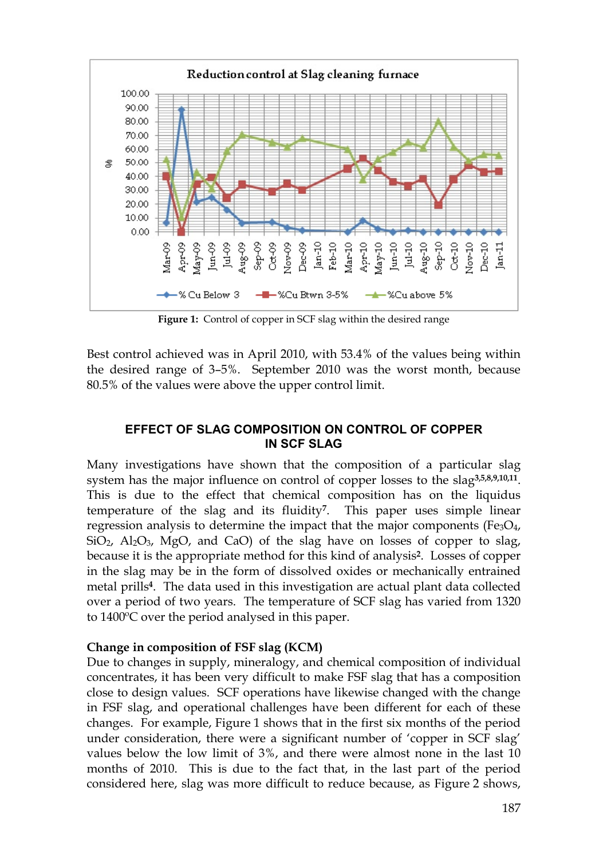

**Figure 1:** Control of copper in SCF slag within the desired range

Best control achieved was in April 2010, with 53.4% of the values being within the desired range of 3–5%. September 2010 was the worst month, because 80.5% of the values were above the upper control limit.

## **EFFECT OF SLAG COMPOSITION ON CONTROL OF COPPER IN SCF SLAG**

Many investigations have shown that the composition of a particular slag system has the major influence on control of copper losses to the slag**3,5,8,9,10,11**. This is due to the effect that chemical composition has on the liquidus temperature of the slag and its fluidity**7**. This paper uses simple linear regression analysis to determine the impact that the major components ( $Fe<sub>3</sub>O<sub>4</sub>$ , SiO<sub>2</sub>, Al<sub>2</sub>O<sub>3</sub>, MgO, and CaO) of the slag have on losses of copper to slag, because it is the appropriate method for this kind of analysis**2**. Losses of copper in the slag may be in the form of dissolved oxides or mechanically entrained metal prills**4**. The data used in this investigation are actual plant data collected over a period of two years. The temperature of SCF slag has varied from 1320 to 1400ºC over the period analysed in this paper.

## **Change in composition of FSF slag (KCM)**

Due to changes in supply, mineralogy, and chemical composition of individual concentrates, it has been very difficult to make FSF slag that has a composition close to design values. SCF operations have likewise changed with the change in FSF slag, and operational challenges have been different for each of these changes. For example, Figure 1 shows that in the first six months of the period under consideration, there were a significant number of 'copper in SCF slag' values below the low limit of 3%, and there were almost none in the last 10 months of 2010. This is due to the fact that, in the last part of the period considered here, slag was more difficult to reduce because, as Figure 2 shows,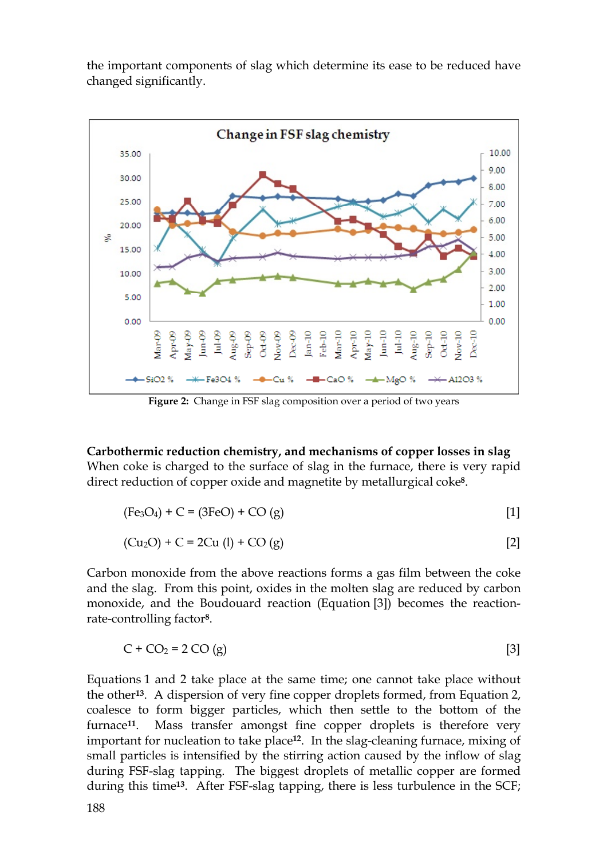the important components of slag which determine its ease to be reduced have changed significantly.



**Figure 2:** Change in FSF slag composition over a period of two years

**Carbothermic reduction chemistry, and mechanisms of copper losses in slag**  When coke is charged to the surface of slag in the furnace, there is very rapid direct reduction of copper oxide and magnetite by metallurgical coke**8**.

$$
(Fe3O4) + C = (3FeO) + CO(g)
$$
 [1]

$$
(Cu2O) + C = 2Cu (l) + CO (g)
$$
 [2]

Carbon monoxide from the above reactions forms a gas film between the coke and the slag. From this point, oxides in the molten slag are reduced by carbon monoxide, and the Boudouard reaction (Equation [3]) becomes the reactionrate-controlling factor**8**.

$$
C + CO2 = 2 CO(g)
$$
 [3]

Equations 1 and 2 take place at the same time; one cannot take place without the other**13**. A dispersion of very fine copper droplets formed, from Equation 2, coalesce to form bigger particles, which then settle to the bottom of the furnace**11**. Mass transfer amongst fine copper droplets is therefore very important for nucleation to take place**12**. In the slag-cleaning furnace, mixing of small particles is intensified by the stirring action caused by the inflow of slag during FSF-slag tapping. The biggest droplets of metallic copper are formed during this time**13**. After FSF-slag tapping, there is less turbulence in the SCF;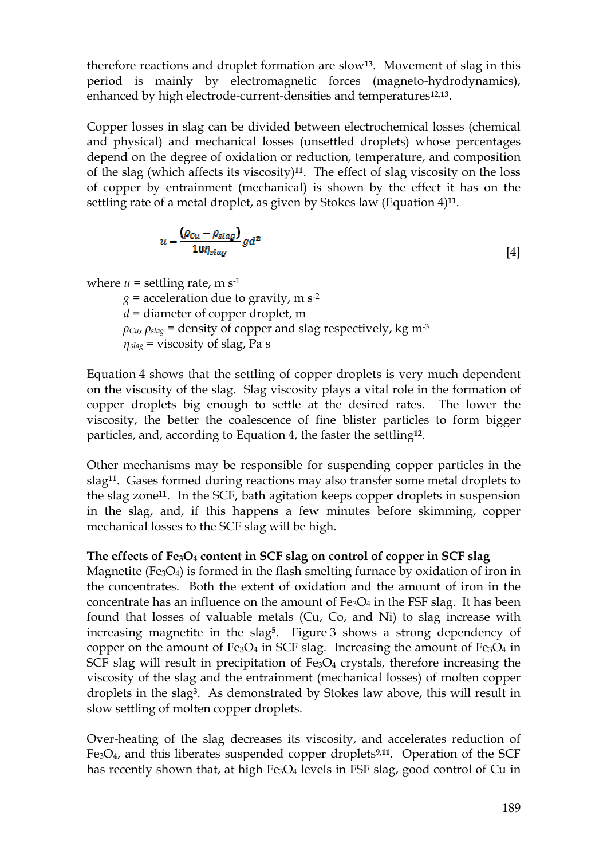therefore reactions and droplet formation are slow**13**. Movement of slag in this period is mainly by electromagnetic forces (magneto-hydrodynamics), enhanced by high electrode-current-densities and temperatures**12,13**.

Copper losses in slag can be divided between electrochemical losses (chemical and physical) and mechanical losses (unsettled droplets) whose percentages depend on the degree of oxidation or reduction, temperature, and composition of the slag (which affects its viscosity)**11**. The effect of slag viscosity on the loss of copper by entrainment (mechanical) is shown by the effect it has on the settling rate of a metal droplet, as given by Stokes law (Equation 4)**11**.

$$
u = \frac{(\rho_{Cu} - \rho_{slag})}{18 \eta_{slag}} gd^2
$$
 [4]

where  $u =$  settling rate, m s<sup>-1</sup>

 $g =$  acceleration due to gravity, m s<sup>-2</sup> *d* = diameter of copper droplet, m  $\rho_{Cu}$ ,  $\rho_{slag}$  = density of copper and slag respectively, kg m<sup>-3</sup> *ηslag* = viscosity of slag, Pa s

Equation 4 shows that the settling of copper droplets is very much dependent on the viscosity of the slag. Slag viscosity plays a vital role in the formation of copper droplets big enough to settle at the desired rates. The lower the viscosity, the better the coalescence of fine blister particles to form bigger particles, and, according to Equation 4, the faster the settling**12**.

Other mechanisms may be responsible for suspending copper particles in the slag**11**. Gases formed during reactions may also transfer some metal droplets to the slag zone**11**. In the SCF, bath agitation keeps copper droplets in suspension in the slag, and, if this happens a few minutes before skimming, copper mechanical losses to the SCF slag will be high.

# **The effects of Fe3O<sup>4</sup> content in SCF slag on control of copper in SCF slag**

Magnetite (Fe<sub>3</sub>O<sub>4</sub>) is formed in the flash smelting furnace by oxidation of iron in the concentrates. Both the extent of oxidation and the amount of iron in the concentrate has an influence on the amount of  $Fe<sub>3</sub>O<sub>4</sub>$  in the FSF slag. It has been found that losses of valuable metals (Cu, Co, and Ni) to slag increase with increasing magnetite in the slag**5**. Figure 3 shows a strong dependency of copper on the amount of Fe<sub>3</sub>O<sub>4</sub> in SCF slag. Increasing the amount of Fe<sub>3</sub>O<sub>4</sub> in SCF slag will result in precipitation of  $Fe<sub>3</sub>O<sub>4</sub>$  crystals, therefore increasing the viscosity of the slag and the entrainment (mechanical losses) of molten copper droplets in the slag**3**. As demonstrated by Stokes law above, this will result in slow settling of molten copper droplets.

Over-heating of the slag decreases its viscosity, and accelerates reduction of Fe3O4, and this liberates suspended copper droplets**9,11**. Operation of the SCF has recently shown that, at high Fe<sub>3</sub>O<sub>4</sub> levels in FSF slag, good control of Cu in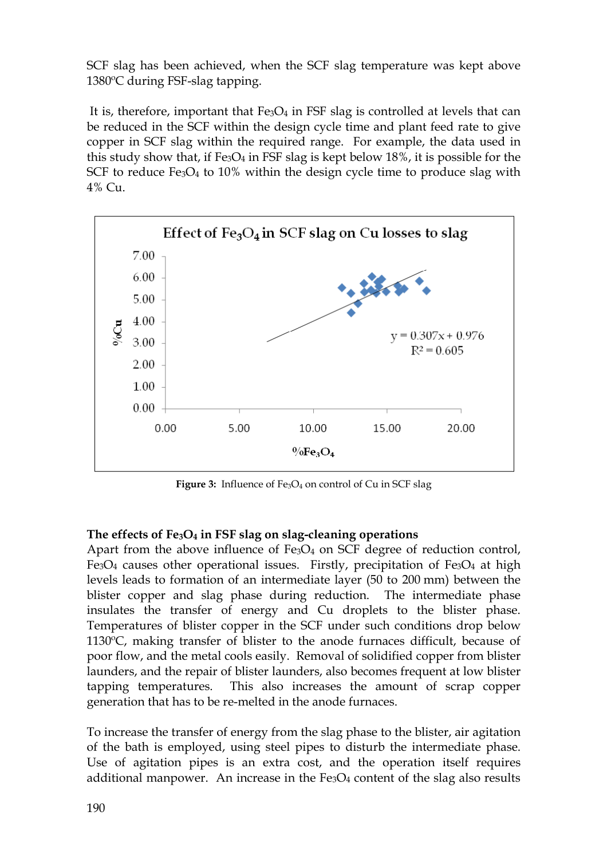SCF slag has been achieved, when the SCF slag temperature was kept above 1380ºC during FSF-slag tapping.

It is, therefore, important that  $Fe<sub>3</sub>O<sub>4</sub>$  in FSF slag is controlled at levels that can be reduced in the SCF within the design cycle time and plant feed rate to give copper in SCF slag within the required range. For example, the data used in this study show that, if  $Fe<sub>3</sub>O<sub>4</sub>$  in FSF slag is kept below 18%, it is possible for the SCF to reduce Fe<sub>3</sub>O<sub>4</sub> to 10% within the design cycle time to produce slag with 4% Cu.



**Figure 3:** Influence of Fe<sub>3</sub>O<sub>4</sub> on control of Cu in SCF slag

## **The effects of Fe3O<sup>4</sup> in FSF slag on slag-cleaning operations**

Apart from the above influence of  $Fe<sub>3</sub>O<sub>4</sub>$  on SCF degree of reduction control, Fe<sub>3</sub>O<sub>4</sub> causes other operational issues. Firstly, precipitation of Fe<sub>3</sub>O<sub>4</sub> at high levels leads to formation of an intermediate layer (50 to 200 mm) between the blister copper and slag phase during reduction. The intermediate phase insulates the transfer of energy and Cu droplets to the blister phase. Temperatures of blister copper in the SCF under such conditions drop below 1130ºC, making transfer of blister to the anode furnaces difficult, because of poor flow, and the metal cools easily. Removal of solidified copper from blister launders, and the repair of blister launders, also becomes frequent at low blister tapping temperatures. This also increases the amount of scrap copper generation that has to be re-melted in the anode furnaces.

To increase the transfer of energy from the slag phase to the blister, air agitation of the bath is employed, using steel pipes to disturb the intermediate phase. Use of agitation pipes is an extra cost, and the operation itself requires additional manpower. An increase in the  $Fe<sub>3</sub>O<sub>4</sub>$  content of the slag also results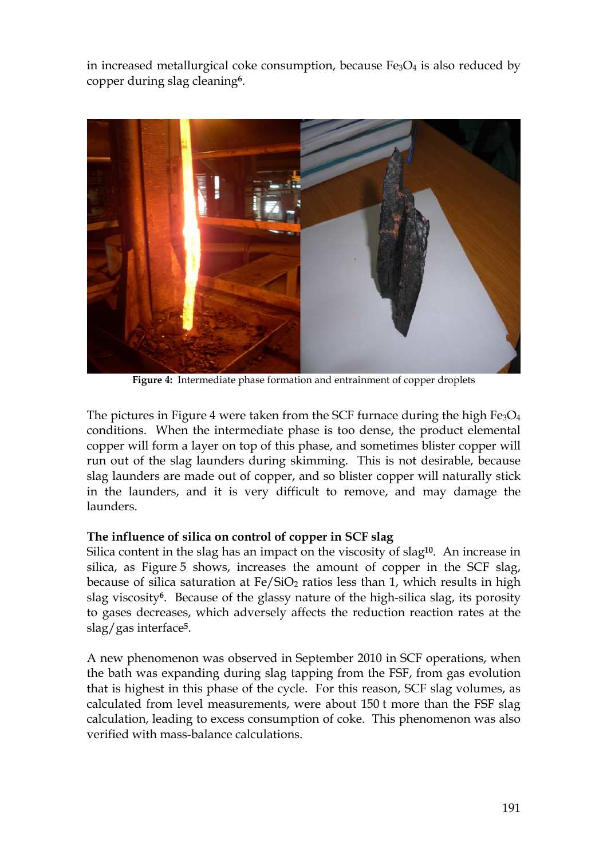in increased metallurgical coke consumption, because  $Fe<sub>3</sub>O<sub>4</sub>$  is also reduced by copper during slag cleaning**6**.



**Figure 4:** Intermediate phase formation and entrainment of copper droplets

The pictures in Figure 4 were taken from the SCF furnace during the high  $Fe<sub>3</sub>O<sub>4</sub>$ conditions. When the intermediate phase is too dense, the product elemental copper will form a layer on top of this phase, and sometimes blister copper will run out of the slag launders during skimming. This is not desirable, because slag launders are made out of copper, and so blister copper will naturally stick in the launders, and it is very difficult to remove, and may damage the launders.

## **The influence of silica on control of copper in SCF slag**

Silica content in the slag has an impact on the viscosity of slag**10**. An increase in silica, as Figure 5 shows, increases the amount of copper in the SCF slag, because of silica saturation at  $Fe/SiO<sub>2</sub>$  ratios less than 1, which results in high slag viscosity**6**. Because of the glassy nature of the high-silica slag, its porosity to gases decreases, which adversely affects the reduction reaction rates at the slag/gas interface**5**.

A new phenomenon was observed in September 2010 in SCF operations, when the bath was expanding during slag tapping from the FSF, from gas evolution that is highest in this phase of the cycle. For this reason, SCF slag volumes, as calculated from level measurements, were about 150 t more than the FSF slag calculation, leading to excess consumption of coke. This phenomenon was also verified with mass-balance calculations.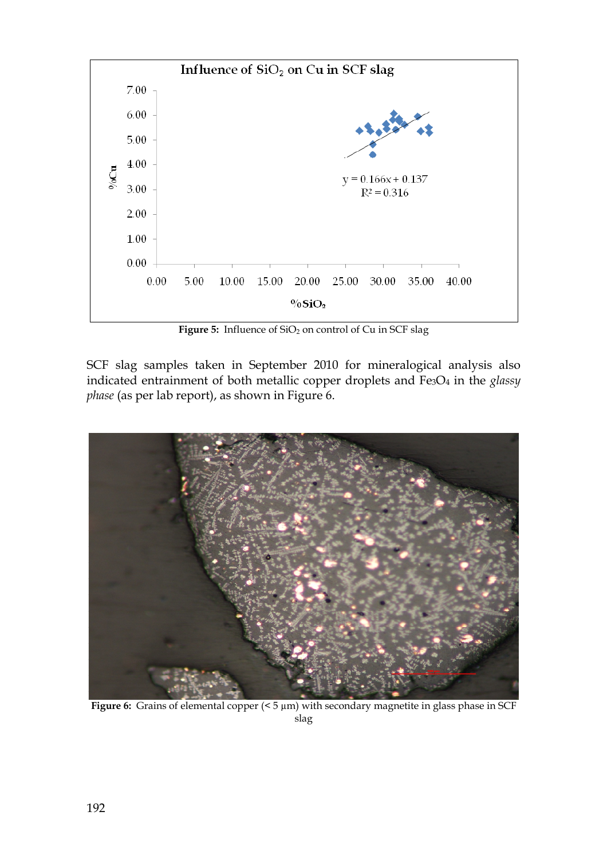

Figure 5: Influence of SiO<sub>2</sub> on control of Cu in SCF slag

SCF slag samples taken in September 2010 for mineralogical analysis also indicated entrainment of both metallic copper droplets and Fe3O<sup>4</sup> in the *glassy phase* (as per lab report), as shown in Figure 6.



Figure 6: Grains of elemental copper ( $\leq$  5 µm) with secondary magnetite in glass phase in SCF slag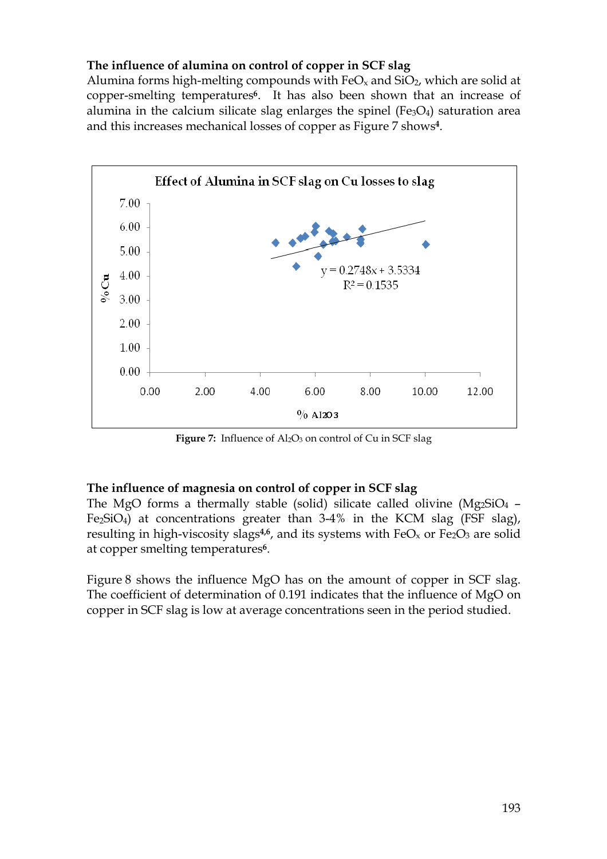## **The influence of alumina on control of copper in SCF slag**

Alumina forms high-melting compounds with  $FeO<sub>x</sub>$  and  $SiO<sub>2</sub>$ , which are solid at copper-smelting temperatures**6**. It has also been shown that an increase of alumina in the calcium silicate slag enlarges the spinel ( $Fe<sub>3</sub>O<sub>4</sub>$ ) saturation area and this increases mechanical losses of copper as Figure 7 shows**4**.



**Figure** 7: Influence of  $\text{Al}_2\text{O}_3$  on control of Cu in SCF slag

#### **The influence of magnesia on control of copper in SCF slag**

The MgO forms a thermally stable (solid) silicate called olivine (Mg2SiO<sup>4</sup> – Fe<sub>2</sub>SiO<sub>4</sub>) at concentrations greater than  $3-4\%$  in the KCM slag (FSF slag), resulting in high-viscosity slags<sup>4,6</sup>, and its systems with  $FeO<sub>x</sub>$  or  $Fe<sub>2</sub>O<sub>3</sub>$  are solid at copper smelting temperatures**6**.

Figure 8 shows the influence MgO has on the amount of copper in SCF slag. The coefficient of determination of 0.191 indicates that the influence of MgO on copper in SCF slag is low at average concentrations seen in the period studied.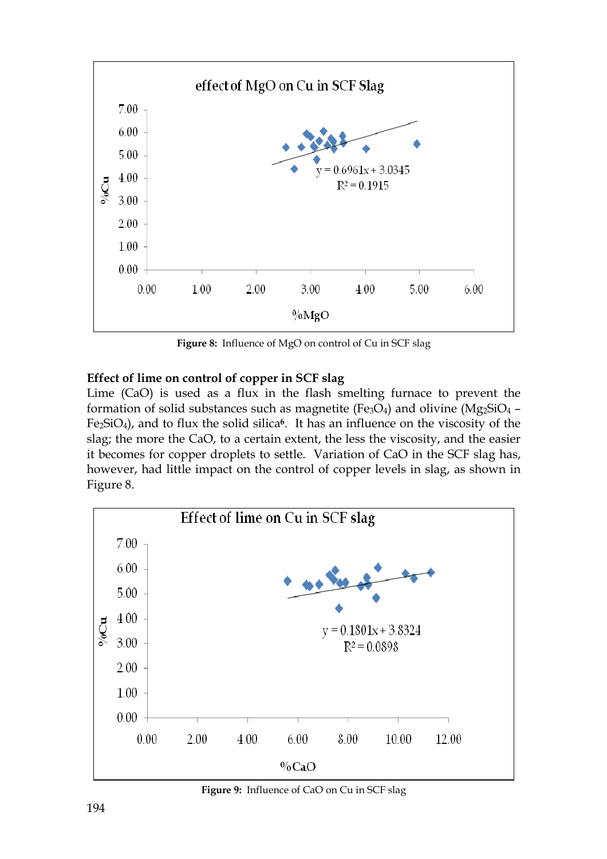

**Figure 8:** Influence of MgO on control of Cu in SCF slag

## **Effect of lime on control of copper in SCF slag**

Lime (CaO) is used as a flux in the flash smelting furnace to prevent the formation of solid substances such as magnetite (Fe<sub>3</sub>O<sub>4</sub>) and olivine (Mg<sub>2</sub>SiO<sub>4</sub> – Fe2SiO4), and to flux the solid silica**6**. It has an influence on the viscosity of the slag; the more the CaO, to a certain extent, the less the viscosity, and the easier it becomes for copper droplets to settle. Variation of CaO in the SCF slag has, however, had little impact on the control of copper levels in slag, as shown in Figure 8.



**Figure 9:** Influence of CaO on Cu in SCF slag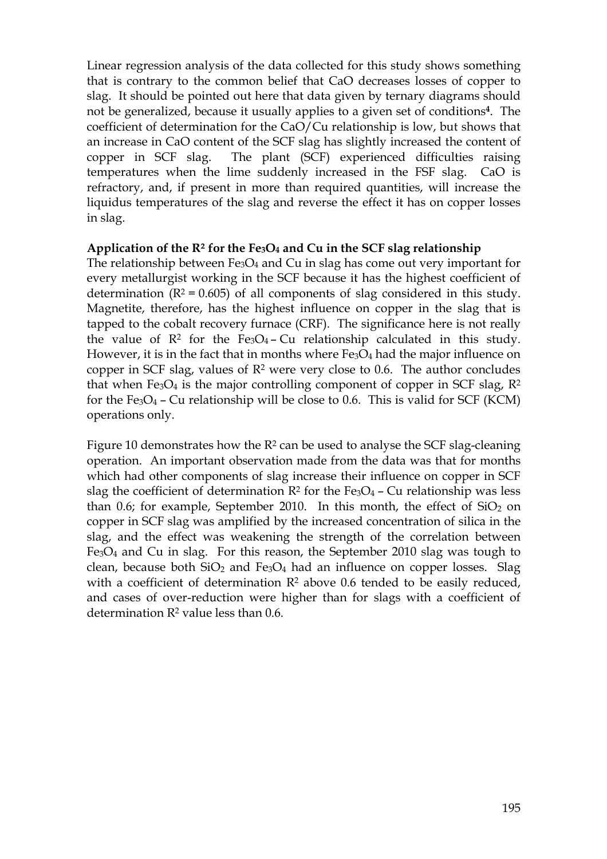Linear regression analysis of the data collected for this study shows something that is contrary to the common belief that CaO decreases losses of copper to slag. It should be pointed out here that data given by ternary diagrams should not be generalized, because it usually applies to a given set of conditions**4**. The coefficient of determination for the CaO/Cu relationship is low, but shows that an increase in CaO content of the SCF slag has slightly increased the content of copper in SCF slag. The plant (SCF) experienced difficulties raising temperatures when the lime suddenly increased in the FSF slag. CaO is refractory, and, if present in more than required quantities, will increase the liquidus temperatures of the slag and reverse the effect it has on copper losses in slag.

#### **Application of the R² for the Fe3O4 and Cu in the SCF slag relationship**

The relationship between  $Fe<sub>3</sub>O<sub>4</sub>$  and Cu in slag has come out very important for every metallurgist working in the SCF because it has the highest coefficient of determination  $(R^2 = 0.605)$  of all components of slag considered in this study. Magnetite, therefore, has the highest influence on copper in the slag that is tapped to the cobalt recovery furnace (CRF). The significance here is not really the value of  $\mathbb{R}^2$  for the Fe<sub>3</sub>O<sub>4</sub> – Cu relationship calculated in this study. However, it is in the fact that in months where  $Fe<sub>3</sub>O<sub>4</sub>$  had the major influence on copper in SCF slag, values of  $\mathbb{R}^2$  were very close to 0.6. The author concludes that when  $Fe<sub>3</sub>O<sub>4</sub>$  is the major controlling component of copper in SCF slag,  $R<sup>2</sup>$ for the  $Fe<sub>3</sub>O<sub>4</sub>$  – Cu relationship will be close to 0.6. This is valid for SCF (KCM) operations only.

Figure 10 demonstrates how the  $R^2$  can be used to analyse the SCF slag-cleaning operation. An important observation made from the data was that for months which had other components of slag increase their influence on copper in SCF slag the coefficient of determination  $R^2$  for the Fe<sub>3</sub>O<sub>4</sub> – Cu relationship was less than 0.6; for example, September 2010. In this month, the effect of  $SiO<sub>2</sub>$  on copper in SCF slag was amplified by the increased concentration of silica in the slag, and the effect was weakening the strength of the correlation between Fe3O<sup>4</sup> and Cu in slag. For this reason, the September 2010 slag was tough to clean, because both  $SiO<sub>2</sub>$  and  $Fe<sub>3</sub>O<sub>4</sub>$  had an influence on copper losses. Slag with a coefficient of determination  $\mathbb{R}^2$  above 0.6 tended to be easily reduced, and cases of over-reduction were higher than for slags with a coefficient of determination R<sup>2</sup> value less than 0.6.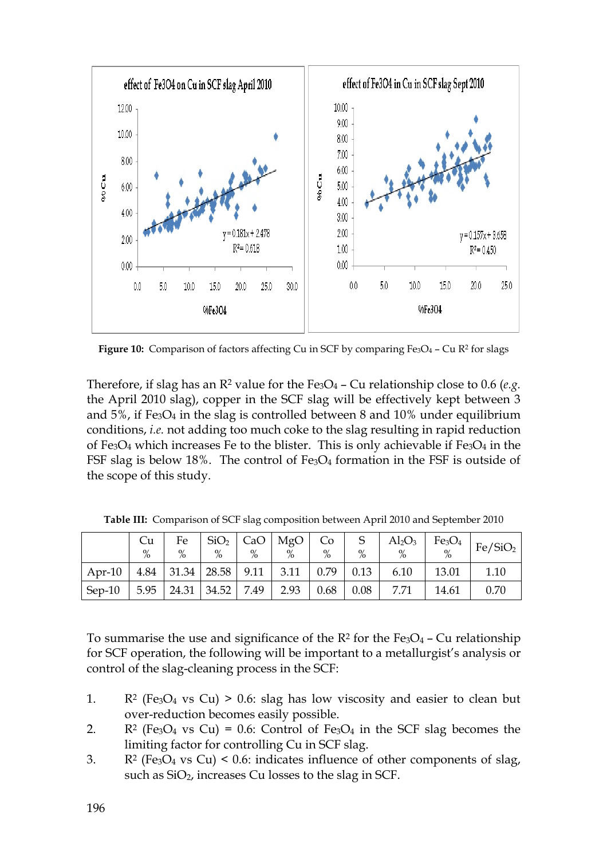

**Figure 10:** Comparison of factors affecting Cu in SCF by comparing Fe<sub>3</sub>O<sub>4</sub> – Cu R<sup>2</sup> for slags

Therefore, if slag has an  $\mathbb{R}^2$  value for the  $Fe_3O_4$  – Cu relationship close to 0.6 (*e.g.*) the April 2010 slag), copper in the SCF slag will be effectively kept between 3 and  $5\%$ , if Fe<sub>3</sub>O<sub>4</sub> in the slag is controlled between 8 and  $10\%$  under equilibrium conditions, *i.e.* not adding too much coke to the slag resulting in rapid reduction of Fe<sub>3</sub>O<sub>4</sub> which increases Fe to the blister. This is only achievable if Fe<sub>3</sub>O<sub>4</sub> in the FSF slag is below 18%. The control of  $Fe<sub>3</sub>O<sub>4</sub>$  formation in the FSF is outside of the scope of this study.

|                                                                                                                          | Cu<br>$\%$ | Fe<br>$\%$ | $\%$                                                  | $\%$ | $\vert$ SiO <sub>2</sub> $\vert$ CaO $\vert$ MgO $\vert$ Co<br>$\%$ | $\%$ | $\mathbf S$<br>$\%$ | $\text{Al}_2\text{O}_3$<br>$\%$ |       | $\begin{array}{c c}\n\text{Fe}_3\text{O}_4 & \text{Fe/SiO}_2 \\ \% & \text{Fe/SiO}_2\n\end{array}$ |
|--------------------------------------------------------------------------------------------------------------------------|------------|------------|-------------------------------------------------------|------|---------------------------------------------------------------------|------|---------------------|---------------------------------|-------|----------------------------------------------------------------------------------------------------|
| $\vert$ Apr-10 $\vert$ 4.84 $\vert$ 31.34 $\vert$ 28.58 $\vert$ 9.11 $\vert$ 3.11 $\vert$ 0.79 $\vert$ 0.13 $\vert$ 6.10 |            |            |                                                       |      |                                                                     |      |                     |                                 | 13.01 | 1.10                                                                                               |
| $Sep-10$                                                                                                                 |            |            | $\vert$ 5.95 $\vert$ 24.31 $\vert$ 34.52 $\vert$ 7.49 |      | $2.93 \pm 0.68 \pm 0.08$                                            |      |                     | 7.71                            | 14.61 | 0.70                                                                                               |

**Table III:** Comparison of SCF slag composition between April 2010 and September 2010

To summarise the use and significance of the  $R^2$  for the  $Fe<sub>3</sub>O<sub>4</sub>$  – Cu relationship for SCF operation, the following will be important to a metallurgist's analysis or control of the slag-cleaning process in the SCF:

- 1. R<sup>2</sup> (Fe<sub>3</sub>O<sub>4</sub> vs Cu) > 0.6: slag has low viscosity and easier to clean but over-reduction becomes easily possible.
- 2. R<sup>2</sup> (Fe<sub>3</sub>O<sub>4</sub> vs Cu) = 0.6: Control of Fe<sub>3</sub>O<sub>4</sub> in the SCF slag becomes the limiting factor for controlling Cu in SCF slag.
- 3. R<sup>2</sup> (Fe<sub>3</sub>O<sub>4</sub> vs Cu) < 0.6: indicates influence of other components of slag, such as  $SiO<sub>2</sub>$ , increases Cu losses to the slag in SCF.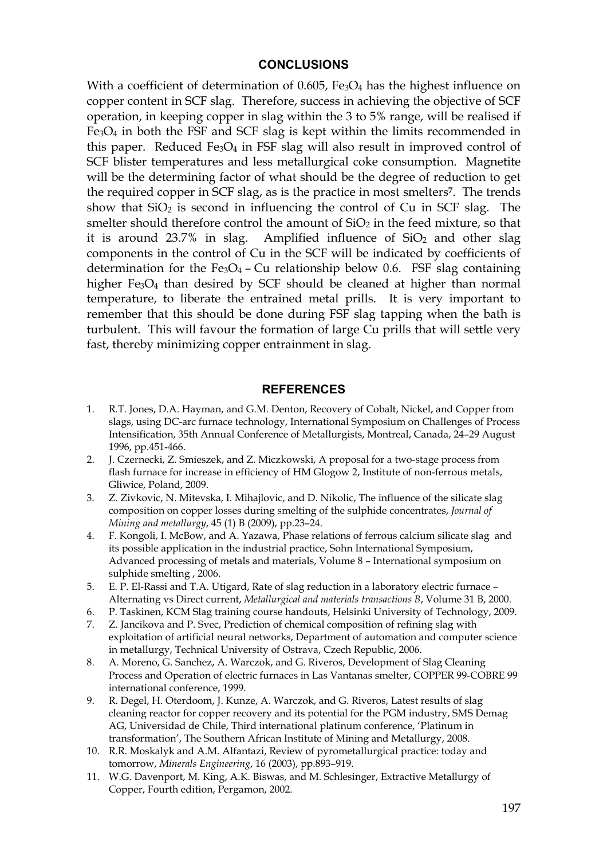#### **CONCLUSIONS**

With a coefficient of determination of 0.605, Fe<sub>3</sub>O<sub>4</sub> has the highest influence on copper content in SCF slag. Therefore, success in achieving the objective of SCF operation, in keeping copper in slag within the 3 to 5% range, will be realised if  $Fe<sub>3</sub>O<sub>4</sub>$  in both the FSF and SCF slag is kept within the limits recommended in this paper. Reduced  $Fe<sub>3</sub>O<sub>4</sub>$  in FSF slag will also result in improved control of SCF blister temperatures and less metallurgical coke consumption. Magnetite will be the determining factor of what should be the degree of reduction to get the required copper in SCF slag, as is the practice in most smelters**7**. The trends show that  $SiO<sub>2</sub>$  is second in influencing the control of Cu in SCF slag. The smelter should therefore control the amount of  $SiO<sub>2</sub>$  in the feed mixture, so that it is around  $23.7\%$  in slag. Amplified influence of  $SiO<sub>2</sub>$  and other slag components in the control of Cu in the SCF will be indicated by coefficients of determination for the Fe<sub>3</sub>O<sub>4</sub> – Cu relationship below 0.6. FSF slag containing higher Fe<sub>3</sub>O<sub>4</sub> than desired by SCF should be cleaned at higher than normal temperature, to liberate the entrained metal prills. It is very important to remember that this should be done during FSF slag tapping when the bath is turbulent. This will favour the formation of large Cu prills that will settle very fast, thereby minimizing copper entrainment in slag.

#### **REFERENCES**

- 1. R.T. Jones, D.A. Hayman, and G.M. Denton, Recovery of Cobalt, Nickel, and Copper from slags, using DC-arc furnace technology, International Symposium on Challenges of Process Intensification, 35th Annual Conference of Metallurgists, Montreal, Canada, 24–29 August 1996, pp.451-466.
- 2. J. Czernecki, Z. Smieszek, and Z. Miczkowski, A proposal for a two-stage process from flash furnace for increase in efficiency of HM Glogow 2, Institute of non-ferrous metals, Gliwice, Poland, 2009.
- 3. Z. Zivkovic, N. Mitevska, I. Mihajlovic, and D. Nikolic, The influence of the silicate slag composition on copper losses during smelting of the sulphide concentrates, *Journal of Mining and metallurgy*, 45 (1) B (2009), pp.23–24.
- 4. F. Kongoli, I. McBow, and A. Yazawa, Phase relations of ferrous calcium silicate slag and its possible application in the industrial practice, Sohn International Symposium, Advanced processing of metals and materials, Volume 8 – International symposium on sulphide smelting , 2006.
- 5. E. P. El-Rassi and T.A. Utigard, Rate of slag reduction in a laboratory electric furnace Alternating vs Direct current, *Metallurgical and materials transactions B*, Volume 31 B, 2000.
- 6. P. Taskinen, KCM Slag training course handouts, Helsinki University of Technology, 2009.
- 7. Z. Jancikova and P. Svec, Prediction of chemical composition of refining slag with exploitation of artificial neural networks, Department of automation and computer science in metallurgy, Technical University of Ostrava, Czech Republic, 2006.
- 8. A. Moreno, G. Sanchez, A. Warczok, and G. Riveros, Development of Slag Cleaning Process and Operation of electric furnaces in Las Vantanas smelter, COPPER 99-COBRE 99 international conference, 1999.
- 9. R. Degel, H. Oterdoom, J. Kunze, A. Warczok, and G. Riveros, Latest results of slag cleaning reactor for copper recovery and its potential for the PGM industry, SMS Demag AG, Universidad de Chile, Third international platinum conference, 'Platinum in transformation', The Southern African Institute of Mining and Metallurgy, 2008.
- 10. R.R. Moskalyk and A.M. Alfantazi, Review of pyrometallurgical practice: today and tomorrow, *Minerals Engineering*, 16 (2003), pp.893–919.
- 11. W.G. Davenport, M. King, A.K. Biswas, and M. Schlesinger, Extractive Metallurgy of Copper, Fourth edition, Pergamon, 2002.